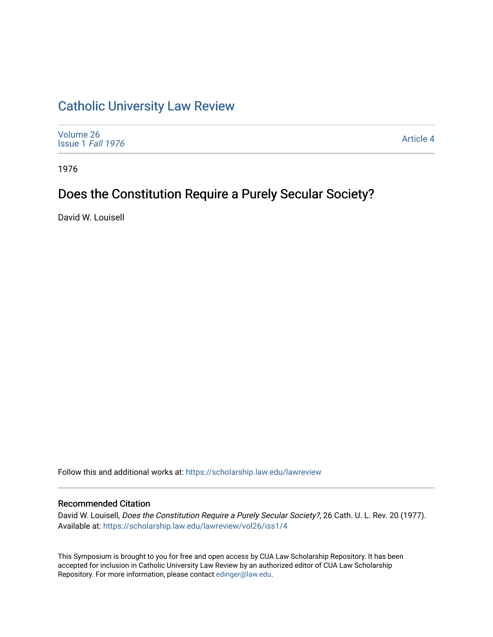## [Catholic University Law Review](https://scholarship.law.edu/lawreview)

| Volume 26<br>Issue 1 Fall 1976 | Article 4 |
|--------------------------------|-----------|
|--------------------------------|-----------|

1976

# Does the Constitution Require a Purely Secular Society?

David W. Louisell

Follow this and additional works at: [https://scholarship.law.edu/lawreview](https://scholarship.law.edu/lawreview?utm_source=scholarship.law.edu%2Flawreview%2Fvol26%2Fiss1%2F4&utm_medium=PDF&utm_campaign=PDFCoverPages)

#### Recommended Citation

David W. Louisell, Does the Constitution Require a Purely Secular Society?, 26 Cath. U. L. Rev. 20 (1977). Available at: [https://scholarship.law.edu/lawreview/vol26/iss1/4](https://scholarship.law.edu/lawreview/vol26/iss1/4?utm_source=scholarship.law.edu%2Flawreview%2Fvol26%2Fiss1%2F4&utm_medium=PDF&utm_campaign=PDFCoverPages)

This Symposium is brought to you for free and open access by CUA Law Scholarship Repository. It has been accepted for inclusion in Catholic University Law Review by an authorized editor of CUA Law Scholarship Repository. For more information, please contact [edinger@law.edu.](mailto:edinger@law.edu)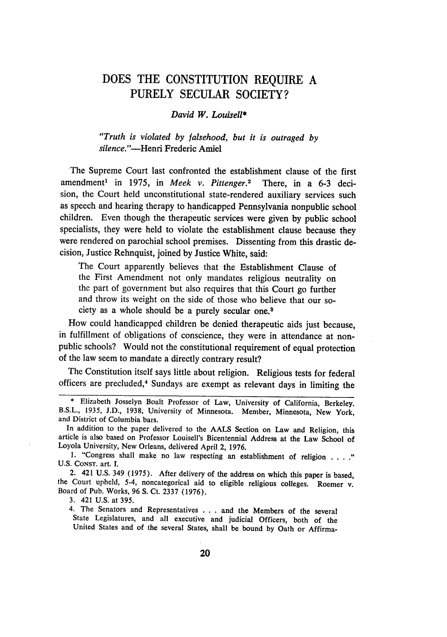### **DOES** THE **CONSTITUTION** REQUIRE **A** PURELY **SECULAR SOCIETY?**

#### *David W. Louisell\**

*"Truth is violated by falsehood, but it is outraged by silence."-Henri* Frederic Amiel

The Supreme Court last confronted the establishment clause of the first amendment' in 1975, in *Meek v. Pittenger.2* There, in a 6-3 decision, the Court held unconstitutional state-rendered auxiliary services such as speech and hearing therapy to handicapped Pennsylvania nonpublic school children. Even though the therapeutic services were given by public school specialists, they were held to violate the establishment clause because they were rendered on parochial school premises. Dissenting from this drastic decision, Justice Rehnquist, joined by Justice White, said:

The Court apparently believes that the Establishment Clause of the First Amendment not only mandates religious neutrality on the part of government but also requires that this Court go further and throw its weight on the side of those who believe that our society as a whole should be a purely secular one.8

How could handicapped children be denied therapeutic aids just because, in fulfillment of obligations of conscience, they were in attendance at nonpublic schools? Would not the constitutional requirement of equal protection of the law seem to mandate a directly contrary result?

The Constitution itself says little about religion. Religious tests for federal officers are precluded,4 Sundays are exempt as relevant days in limiting the

2. 421 U.S. 349 (1975). After delivery of the address on which this paper is based, the Court upheld, 5-4, noncategorical aid to eligible religious colleges. Roemer v. Board of Pub. Works, 96 **S.** Ct. 2337 (1976).

3. 421 U.S. at 395.

4. The Senators and Representatives **.** . **.** and the Members of the several State Legislatures, and all executive and judicial Officers, both of the United States and of the several States, shall be bound **by** Oath or Affirma-

<sup>\*</sup> Elizabeth Josselyn Boalt Professor of Law, University of California, Berkeley. B.S.L., 1935, J.D., 1938, University of Minnesota. Member, Minnesota, New York, and District of Columbia bars.

In addition to the paper delivered to the AALS Section on Law and Religion, this article is also based on Professor Louisell's Bicentennial Address at the Law School of Loyola University, New Orleans, delivered April 2, 1976.

**<sup>1.</sup>** "Congress shall make no law respecting an establishment of religion. U.S. CONST. art. I.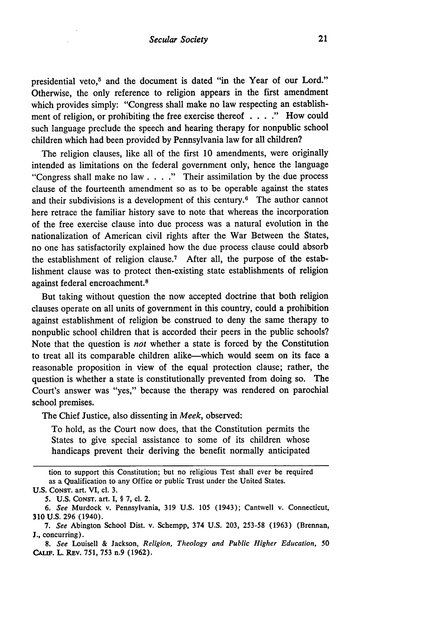presidential veto,<sup>5</sup> and the document is dated "in the Year of our Lord." Otherwise, the only reference to religion appears in the first amendment which provides simply: "Congress shall make no law respecting an establishment of religion, or prohibiting the free exercise thereof . . **."** How could such language preclude the speech and hearing therapy for nonpublic school children which had been provided by Pennsylvania law for all children?

The religion clauses, like all of the first 10 amendments, were originally intended as limitations on the federal government only, hence the language "Congress shall make no law . **. . ."** Their assimilation by the due process clause of the fourteenth amendment so as to be operable against the states and their subdivisions is a development of this century.6 The author cannot here retrace the familiar history save to note that whereas the incorporation of the free exercise clause into due process was a natural evolution in the nationalization of American civil rights after the War Between the States, no one has satisfactorily explained how the due process clause could absorb the establishment of religion clause.<sup>7</sup> After all, the purpose of the establishment clause was to protect then-existing state establishments of religion against federal encroachment. <sup>8</sup>

But taking without question the now accepted doctrine that both religion clauses operate on all units of government in this country, could a prohibition against establishment of religion be construed to deny the same therapy to nonpublic school children that is accorded their peers in the public schools? Note that the question is *not* whether a state is forced by the Constitution to treat all its comparable children alike-which would seem on its face a reasonable proposition in view of the equal protection clause; rather, the question is whether a state is constitutionally prevented from doing so. The Court's answer was "yes," because the therapy was rendered on parochial school premises.

The Chief Justice, also dissenting in *Meek,* observed:

To hold, as the Court now does, that the Constitution permits the States to give special assistance to some of its children whose handicaps prevent their deriving the benefit normally anticipated

tion to support this Constitution; but no religious Test shall ever be required as a Qualification to any Office or public Trust under the United States. **U.S.** CONST. art. VI, cl. **3.**

**<sup>5.</sup> U.S. CONST.** art. I, § **7,** cl. 2.

*<sup>6.</sup> See* Murdock v. Pennsylvania, 319 U.S. 105 (1943); Cantwell v. Connecticut, 310 U.S. 296 (1940).

*<sup>7.</sup> See* Abington School Dist. v. Schempp, 374 U.S. 203, 253-58 (1963) (Brennan, J., concurring).

*<sup>8.</sup> See* Louisell & Jackson, *Religion, Theology and Public Higher Education, 50* **CALIF.** L. REV. 751, 753 n.9 (1962).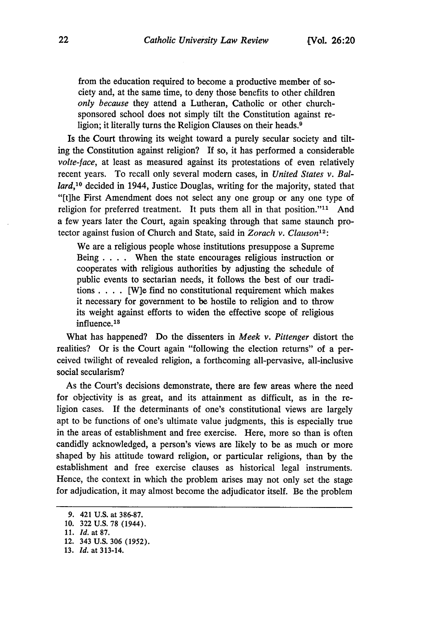from the education required to become a productive member of society and, at the same time, to deny those benefits to other children *only because* they attend a Lutheran, Catholic or other churchsponsored school does not simply tilt the Constitution against religion; it literally turns the Religion Clauses on their heads.<sup>9</sup>

Is the Court throwing its weight toward a purely secular society and tilting the Constitution against religion? If so, it has performed a considerable *volte-face,* at least as measured against its protestations of even relatively recent years. To recall only several modern cases, in *United States v. Ballard,10* decided in 1944, Justice Douglas, writing for the majority, stated that "[t]he First Amendment does not select any one group or any one type of religion for preferred treatment. It puts them all in that position."<sup>11</sup> And a few years later the Court, again speaking through that same staunch protector against fusion of Church and State, said in *Zorach v. Clauson'12:*

We are a religious people whose institutions presuppose a Supreme Being . **.** . When the state encourages religious instruction or cooperates with religious authorities by adjusting the schedule of public events to sectarian needs, it follows the best of our traditions. . **.** . [W]e find no constitutional requirement which makes it necessary for government to be hostile to religion and to throw its weight against efforts to widen the effective scope of religious influence.<sup>18</sup>

What has happened? Do the dissenters in *Meek v. Pittenger* distort the realities? Or is the Court again "following the election returns" of a perceived twilight of revealed religion, a forthcoming all-pervasive, all-inclusive social secularism?

As the Court's decisions demonstrate, there are few areas where the need for objectivity is as great, and its attainment as difficult, as in the religion cases. If the determinants of one's constitutional views are largely apt to be functions of one's ultimate value judgments, this is especially true in the areas of establishment and free exercise. Here, more so than is often candidly acknowledged, a person's views are likely to be as much or more shaped by his attitude toward religion, or particular religions, than by the establishment and free exercise clauses as historical legal instruments. Hence, the context in which the problem arises may not only set the stage for adjudication, it may almost become the adjudicator itself. Be the problem

13. *Id.* at 313-14.

<sup>9. 421</sup> U.S. at 386-87.

<sup>10. 322</sup> U.S. 78 (1944).

<sup>11.</sup> *Id.* at 87.

<sup>12. 343</sup> U.S. 306 (1952).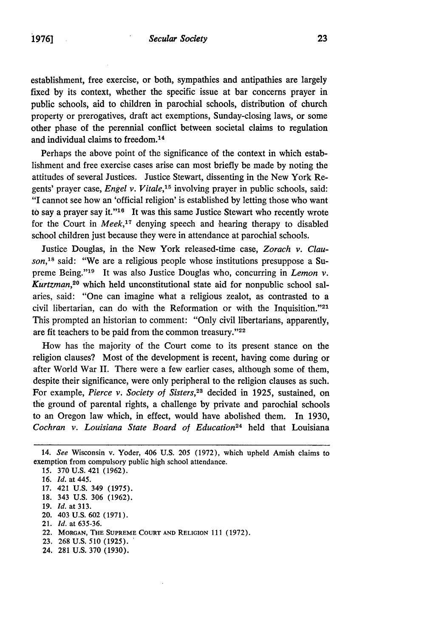$\sim$   $\sim$ 

establishment, free exercise, or both, sympathies and antipathies are largely fixed by its context, whether the specific issue at bar concerns prayer in public schools, aid to children in parochial schools, distribution of church property or prerogatives, draft act exemptions, Sunday-closing laws, or some other phase of the perennial conflict between societal claims to regulation and individual claims to freedom. <sup>14</sup>

Perhaps the above point of the significance of the context in which establishment and free exercise cases arise can most briefly be made by noting the attitudes of several Justices. Justice Stewart, dissenting in the New York Regents' prayer case, *Engel v. Vitale,15* involving prayer in public schools, said: "I cannot see how an 'official religion' is established by letting those who want to say a prayer say it."16 It was this same Justice Stewart who recently wrote for the Court in *Meek*,<sup>17</sup> denying speech and hearing therapy to disabled school children just because they were in attendance at parochial schools.

Justice Douglas, in the New York released-time case, *Zorach v. Clauson,'8* said: "We are a religious people whose institutions presuppose a Supreme Being."<sup>19</sup> It was also Justice Douglas who, concurring in *Lemon v*. *Kurtzman,20* which held unconstitutional state aid for nonpublic school salaries, said: "One can imagine what a religious zealot, as contrasted to a civil libertarian, can do with the Reformation or with the Inquisition."<sup>21</sup> This prompted an historian to comment: "Only civil libertarians, apparently, are fit teachers to be paid from the common treasury."<sup>22</sup>

How has the majority of the Court come to its present stance on the religion clauses? Most of the development is recent, having come during or after World War II. There were a few earlier cases, although some of them, despite their significance, were only peripheral to the religion clauses as such. For example, *Pierce v. Society of Sisters,23* decided in 1925, sustained, on the ground of parental rights, a challenge by private and parochial schools to an Oregon law which, in effect, would have abolished them. In 1930, *Cochran v. Louisiana State Board of Education24* held that Louisiana

- 19. *Id.* at 313.
- 20. 403 U.S. 602 (1971).
- 21. *Id.* at 635-36.
- 22. **MORGAN, THE SUPREME COURT AND RELIGION** 111 (1972).
- **23.** 268 U.S. 510 (1925).
- 24. 281 **U.S.** 370 (1930).

<sup>14.</sup> *See* Wisconsin v. Yoder, 406 U.S. 205 (1972), which upheld Amish claims to exemption from compulsory public high school attendance.

*<sup>15.</sup>* 370 U.S. 421 (1962).

<sup>16.</sup> *Id.* at 445.

<sup>17. 421</sup> U.S. 349 (1975).

<sup>18. 343</sup> U.S. 306 (1962).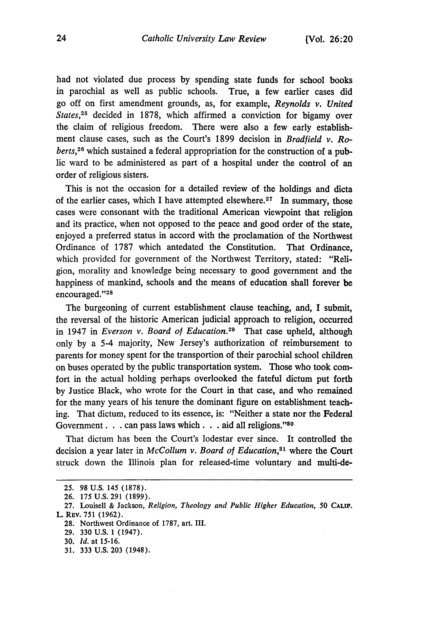had not violated due process by spending state funds for school books in parochial as well as public schools. True, a few earlier cases did go off on first amendment grounds, as, for example, *Reynolds v. United States,25* decided in 1878, which affirmed a conviction for bigamy over the claim of religious freedom. There were also a few early establishment clause cases, such as the Court's 1899 decision in *Bradfield v. Roberts,26* which sustained a federal appropriation for the construction of a public ward to be administered as part of a hospital under the control of an order of religious sisters.

This is not the occasion for a detailed review of the holdings and dicta of the earlier cases, which I have attempted elsewhere.<sup>27</sup> In summary, those cases were consonant with the traditional American viewpoint that religion and its practice, when not opposed to the peace and good order of the state, enjoyed a preferred status in accord with the proclamation of the Northwest Ordinance of 1787 which antedated the Constitution. That Ordinance, which provided for government of the Northwest Territory, stated: "Religion, morality and knowledge being necessary to good government and the happiness of mankind, schools and the means of education shall forever be encouraged."28

The burgeoning of current establishment clause teaching, and, **I** submit, the reversal of the historic American judicial approach to religion, occurred in 1947 in *Everson v. Board of Education.29* That case upheld, although only **by** a 5-4 majority, New Jersey's authorization of reimbursement to parents for money spent for the transportion of their parochial school children on buses operated **by** the public transportation system. Those who took comfort in the actual holding perhaps overlooked the fateful dictum put forth **by** Justice Black, who wrote for the Court in that case, and who remained for the many years of his tenure the dominant figure on establishment teaching. That dictum, reduced to its essence, is: "Neither a state nor the Federal Government. **. .** can pass laws which. **. .** aid all religions." <sup>80</sup>

That dictum has been the Court's lodestar ever since. It controlled the decision a year later in *McCollum v. Board of Education*,<sup>31</sup> where the Court struck down the Illinois plan for released-time voluntary and multi-de-

**31. 333 U.S. 203** (1948).

**<sup>25. 98</sup> U.S.** 145 **(1878).**

**<sup>26. 175</sup> U.S. 291 (1899).**

**<sup>27.</sup>** Louisell **& Jackson,** *Religion, Theology and Public Higher Education, 50* **CALIF.** L REv. **751 (1962).**

**<sup>28.</sup>** Northwest Ordinance of **1787,** art. **III.**

**<sup>29. 330</sup> U.S. 1** (1947).

**<sup>30.</sup>** *Id.* at **15-16.**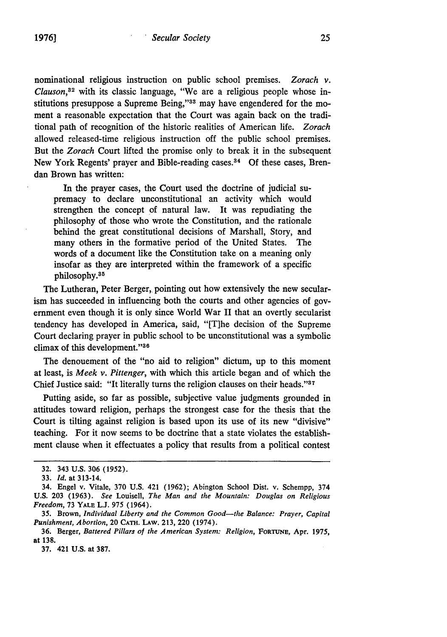nominational religious instruction on public school premises. *Zorach v. Clauson,8 <sup>2</sup>*with its classic language, "We are a religious people whose institutions presuppose a Supreme Being,"<sup>33</sup> may have engendered for the moment a reasonable expectation that the Court was again back on the traditional path of recognition of the historic realities of American life. *Zorach* allowed released-time religious instruction off the public school premises. But the *Zorach* Court lifted the promise only to break it in the subsequent New York Regents' prayer and Bible-reading cases.34 **Of** these cases, Brendan Brown has written:

In the prayer cases, the Court used the doctrine of judicial supremacy to declare unconstitutional an activity which would strengthen the concept of natural law. It was repudiating the philosophy of those who wrote the Constitution, and the rationale behind the great constitutional decisions of Marshall, Story, and many others in the formative period of the United States. The words of a document like the Constitution take on a meaning only insofar as they are interpreted within the framework of a specific philosophy.<sup>35</sup>

The Lutheran, Peter Berger, pointing out how extensively the new secularism has succeeded in influencing both the courts and other agencies of government even though it is only since World War II that an overtly secularist tendency has developed in America, said, "[T]he decision of the Supreme Court declaring prayer in public school to be unconstitutional was a symbolic climax of this development."36

The denouement of the "no aid to religion" dictum, up to this moment at least, is *Meek v. Pittenger,* with which this article began and of which the Chief Justice said: "It literally turns the religion clauses on their heads."<sup>37</sup>

Putting aside, so far as possible, subjective value judgments grounded in attitudes toward religion, perhaps the strongest case for the thesis that the Court is tilting against religion is based upon its use of its new "divisive" teaching. For it now seems to be doctrine that a state violates the establishment clause when it effectuates a policy that results from a political contest

<sup>32. 343</sup> U.S. 306 (1952).

<sup>33.</sup> *Id.* at 313-14.

<sup>34.</sup> Engel v. Vitale, 370 U.S. 421 (1962); Abington School Dist. v. Schempp, 374 U.S. 203 (1963). See Louisell, *The Man and the Mountain:* Douglas *on* Religious *Freedom,* 73 YALE L.J. 975 (1964).

<sup>35.</sup> Brown, *Individual Liberty* and *the* Common Good-the Balance: Prayer, Capital *Punishment, Abortion,* 20 **CAm.** LAw. 213, 220 (1974).

<sup>36.</sup> Berger, *Battered Pillars of the American System: Religion,* **FORTUNE,** Apr. **1975,** at 138.

<sup>37. 421</sup> U.S. at 387.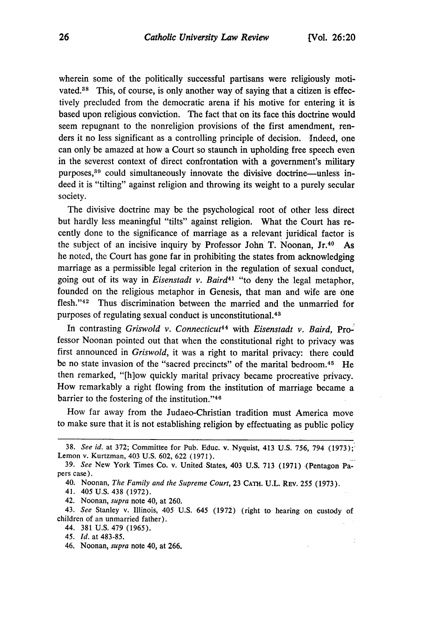Ċ

wherein some of the politically successful partisans were religiously motivated.<sup>38</sup> This, of course, is only another way of saying that a citizen is effectively precluded from the democratic arena if his motive for entering it is based upon religious conviction. The fact that on its face this doctrine would seem repugnant to the nonreligion provisions of the first amendment, renders it no less significant as a controlling principle of decision. Indeed, one can only be amazed at how a Court so staunch in upholding free speech even in the severest context of direct confrontation with a government's military purposes,<sup>39</sup> could simultaneously innovate the divisive doctrine-unless indeed it is "tilting" against religion and throwing its weight to a purely secular society.

The divisive doctrine may be the psychological root of other less direct but hardly less meaningful "tilts" against religion. What the Court has recently done to the significance of marriage as a relevant juridical factor is the subject of an incisive inquiry by Professor John T. Noonan, Jr.40 As he noted, the Court has gone far in prohibiting the states from acknowledging marriage as a permissible legal criterion in the regulation of sexual conduct, going out of its way in *Eisenstadt v. Baird41* "to deny the legal metaphor, founded on the religious metaphor in Genesis, that man and wife are one flesh."<sup>42</sup> Thus discrimination between the married and the unmarried for purposes of regulating sexual conduct is unconstitutional.<sup>43</sup>

In contrasting *Griswold v. Connecticut<sup>44</sup>* with *Eisenstadt v. Baird*, Professor Noonan pointed out that when the constitutional right to privacy was first announced in *Griswold,* it was a right to marital privacy: there could be no state invasion of the "sacred precincts" of the marital bedroom.<sup>45</sup> He then remarked, "[h]ow quickly marital privacy became procreative privacy. How remarkably a right flowing from the institution of marriage became a barrier to the fostering of the institution."<sup>46</sup>

How far away from the Judaeo-Christian tradition must America move to make sure that it is not establishing religion by effectuating as public policy

<sup>38.</sup> *See id.* at 372; Committee for Pub. Educ. v. Nyquist, 413 U.S. 756, 794 (1973);- Lemon v. Kurtzman, 403 U.S. 602, 622 (1971).

<sup>39.</sup> *See* New York Times Co. v. United States, 403 U.S. 713 (1971) (Pentagon Papers case).

<sup>40.</sup> Noonan, *The Family and the Supreme Court,* 23 **CATH.** U.L. REV. 255 (1973).

<sup>41. 405</sup> U.S. 438 (1972).

<sup>42.</sup> Noonan, *supra* note 40, at 260.

<sup>43.</sup> *See* Stanley v. Illinois, 405 U.S. 645 (1972) (right to hearing on custody of children of an unmarried father).

<sup>44. 381</sup> U.S. 479 (1965).

<sup>45.</sup> *Id.* at 483-85.

<sup>46,</sup> Noonan, *supra* note 40, at 266.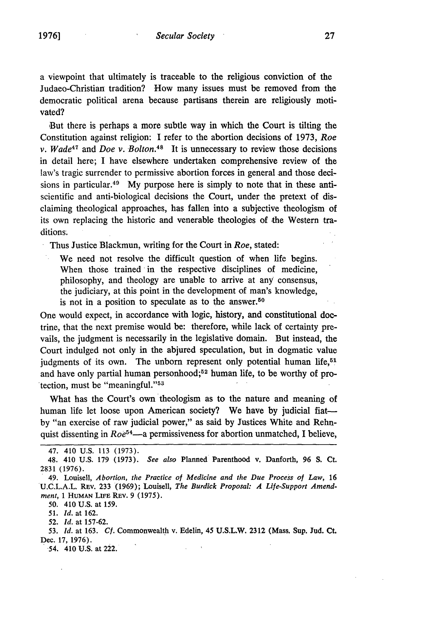But there is perhaps a more subtle way in which the Court is tilting the Constitution against religion: I refer to the abortion decisions of 1973, *Roe v. Wade47* and *Doe v. Bolton.48* It is unnecessary to review those decisions in detail here; I have elsewhere undertaken comprehensive review of the law's tragic surrender to permissive abortion forces in general and those decisions in particular.<sup>49</sup> My purpose here is simply to note that in these antiscientific and anti-biological decisions the Court, under the pretext of disclaiming theological approaches, has fallen into a subjective theologism of its own replacing the historic and venerable theologies of the Western traditions.

Thus Justice Blackmun, writing for the Court in *Roe,* stated:

We need not resolve the difficult question of when life begins. When those trained in the respective disciplines of medicine, philosophy, and theology are unable to arrive at any consensus, the judiciary, at this point in the development of man's knowledge, is not in a position to speculate as to the answer.<sup>50</sup>

One would expect, in accordance with logic, history, and constitutional doctrine, that the next premise would be: therefore, while lack of certainty prevails, the judgment is necessarily in the legislative domain. But instead, the Court indulged not only in the abjured speculation, but in dogmatic value judgments of its own. The unborn represent only potential human life,<sup>51</sup> and have only partial human personhood;<sup>52</sup> human life, to be worthy of protection, must be "meaningful."<sup>53</sup>

What has the Court's own theologism as to the nature and meaning of human life let loose upon American society? We have by judicial fiatby "an exercise of raw judicial power," as said by Justices White and Rehnquist dissenting in *Roe*<sup>54</sup>—a permissiveness for abortion unmatched, I believe,

50. 410 U.S. at **159.**

*51. Id.* at 162.

52. *Id.* at 157-62.

**53.** *Id.* at 163. *Cf.* Commonwealth v. Edelin, 45 **U.S.L.W.** 2312 (Mass. Sup. Jud. **Ct.** Dec. 17, 1976).<br>54. 410 U.S. at 222.

<sup>47. 410</sup> U.S. 113 (1973).

<sup>48. 410</sup> U.S. 179 **(1973).** *See also* Planned Parenthood **v.** Danforth, **96 S. Ct.** 2831 (1976).

<sup>49.</sup> Louisell, *Abortion, the Practice of Medicine and the Due Process of Law,* 16 U.C.L.A.L. Rev. 233 (1969); Louisell, *The Burdick Proposal: A Life-Support Amendment, 1 HUMAN LIFE REV. 9 (1975).*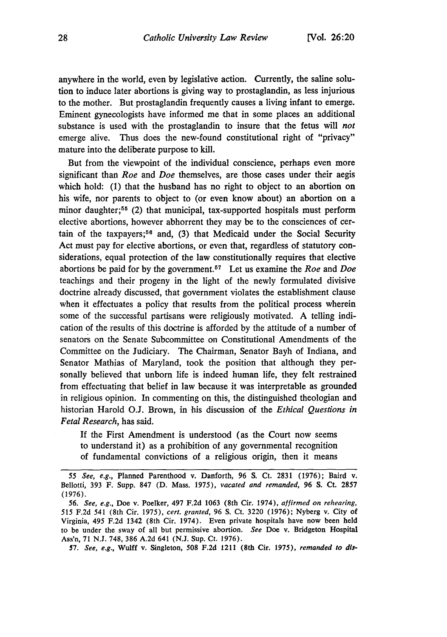anywhere in the world, even **by** legislative action. Currently, the saline solution to induce later abortions is giving way to prostaglandin, as less injurious to the mother. But prostaglandin frequently causes a living infant to emerge. Eminent gynecologists have informed me that in some places an additional substance is used with the prostaglandin to insure that the fetus **will** *not* emerge alive. Thus does the new-found constitutional right of "privacy" mature into the deliberate purpose to kill.

But from the viewpoint of the individual conscience, perhaps even more significant than *Roe* and *Doe* themselves, are those cases under their aegis which hold: **(1)** that the husband has no right to object to an abortion on his wife, nor parents to object to (or even know about) an abortion on a minor daughter;<sup>55</sup> (2) that municipal, tax-supported hospitals must perform elective abortions, however abhorrent they may be to the consciences of cer**tain** of the taxpayers; 56 and, **(3)** that Medicaid under the Social Security Act must pay for elective abortions, or even that, regardless of statutory considerations, equal protection of the law constitutionally requires that elective abortions be paid for **by** the government. 57 Let us examine the *Roe* and *Doe* teachings and their progeny in the light of the newly formulated divisive doctrine already discussed, that government violates the establishment clause when it effectuates a policy that results from the political process wherein some of the successful partisans were religiously motivated. **A** telling indication of the results of this doctrine is afforded by the attitude of a number of senators on the Senate Subcommittee on Constitutional Amendments of the Committee on the Judiciary. The Chairman, Senator Bayh of Indiana, and Senator Mathias of Maryland, took the position that although they personally believed that unborn life is indeed human life, they felt restrained from effectuating that belief in law because it was interpretable as grounded in religious opinion. In commenting on this, the distinguished theologian and historian Harold **O.J.** Brown, in 'his discussion of the *Ethical Questions in Fetal Research,* has said.

**If** the First Amendment is understood (as the Court now seems to understand it) as a prohibition of any governmental recognition of fundamental convictions of a religious origin, then it means

*57. See, e.g.,* Wulff v. Singleton, **508 F.2d** 1211 (8th Cir. **1975),** *remanded to dis-*

*<sup>55</sup> See, e.g.,* Planned Parenthood v. Danforth, 96 S. Ct. 2831 (1976); Baird v. Bellotti, 393 F. Supp. 847 (D. Mass. 1975), *vacated and remanded,* 96 S. Ct. 2857 (1976).

*<sup>56.</sup> See, e.g.,* Doe v. Poelker, 497 F.2d 1063 (8th Cir. 1974), *affirmed on rehearing,* 515 F.2d 541 (8th Cir. 1975), *cert. granted,* 96 S. Ct. 3220 (1976); Nyberg v. City of Virginia, 495 F.2d 1342 (8th Cir. 1974). Even private hospitals have now been held to be under the sway of all but permissive abortion. *See* Doe v. Bridgeton Hospital Ass'n, 71 N.J. 748, 386 A.2d 641 (N.J. Sup. Ct. 1976).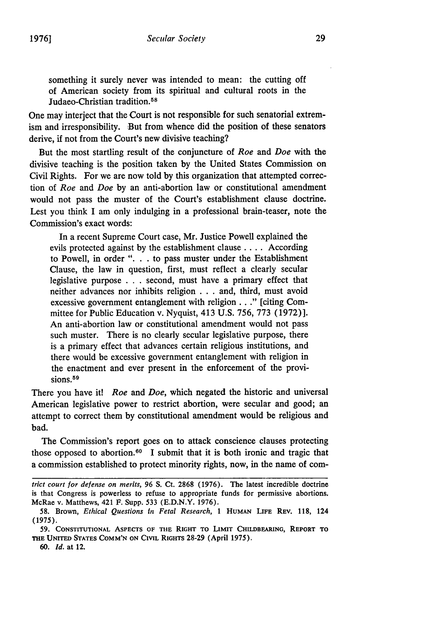something it surely never was intended to mean: the cutting off of American society from its spiritual and cultural roots in the Judaeo-Christian tradition.<sup>58</sup>

One may interject that the Court is not responsible for such senatorial extremism and irresponsibility. But from whence did the position of these senators derive, if not from the Court's new divisive teaching?

But the most startling result of the conjuncture of Roe and Doe with the divisive teaching is the position taken by the United States Commission on Civil Rights. For we are now told by this organization that attempted correction of Roe and Doe by an anti-abortion law or constitutional amendment would not pass the muster of the Court's establishment clause doctrine. Lest you think I am only indulging in a professional brain-teaser, note the Commission's exact words:

In a recent Supreme Court case, Mr. Justice Powell explained the evils protected against by the establishment clause .... According to Powell, in order ". **.** . to pass muster under the Establishment Clause, the law in question, first, must reflect a clearly secular legislative purpose . . . second, must have a primary effect that neither advances nor inhibits religion . . . and, third, must avoid excessive government entanglement with religion.. ." [citing Committee for Public Education v. Nyquist, 413 U.S. 756, 773 (1972)]. An anti-abortion law or constitutional amendment would not pass such muster. There is no clearly secular legislative purpose, there is a primary effect that advances certain religious institutions, and there would be excessive government entanglement with religion in the enactment and ever present in the enforcement of the provisions.<sup>59</sup>

There you have it! *Roe* and *Doe*, which negated the historic and universal American legislative power to restrict abortion, were secular and good; an attempt to correct them **by** constitutional amendment would be religious and bad.

The Commission's report goes on to attack conscience clauses protecting those opposed to abortion.<sup>60</sup> I submit that it is both ironic and tragic that a commission established to protect minority rights, now, in the name of com-

*trict court for defense on merits,* 96 S. Ct. 2868 (1976). The latest incredible doctrine is that Congress is powerless to refuse to appropriate funds for permissive abortions. McRae v. Matthews, 421 F. Supp. 533 (E.D.N.Y. 1976).

**<sup>58.</sup>** Brown, *Ethical Questions In Fetal Research,* **1 HUMAN LIFE REV.** 118, 124 (1975).

**<sup>59.</sup> CONSTITUTIONAL ASPECTS OF THE RIGHT TO LIMIT CHILDBEARING, REPORT TO THE UNITED STATES COMM'N ON CIVIL** RIGHTS **28-29** (April 1975).

<sup>60.</sup> *Id.* at 12.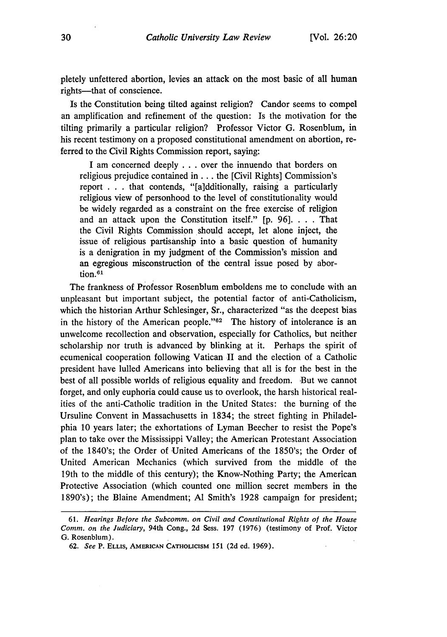pletely unfettered abortion, levies an attack on the most basic of all human rights-that of conscience.

Is the Constitution being tilted against religion? Candor seems to compel an amplification and refinement of the question: Is the motivation for the tilting primarily a particular religion? Professor Victor G. Rosenblum, in his recent testimony on a proposed constitutional amendment on abortion, referred to the Civil Rights Commission report, saying:

I am concerned deeply ..**.**over the innuendo that borders on religious prejudice contained in... the [Civil Rights] Commission's report **. . .** that contends, "[a]dditionally, raising a particularly religious view of personhood to the level of constitutionality would be widely regarded as a constraint on the free exercise of religion and an attack upon the Constitution itself." [p. 96]. . . . That the Civil Rights Commission should accept, let alone inject, the issue of religious partisanship into a basic question of humanity is a denigration in my judgment of the Commission's mission and an egregious misconstruction of the central issue posed by abortion. $61$ 

The frankness of Professor Rosenblum emboldens me to conclude with an unpleasant but important subject, the potential factor of anti-Catholicism, which the historian Arthur Schlesinger, Sr., characterized "as the deepest bias in the history of the American people."<sup>62</sup> The history of intolerance is an unwelcome recollection and observation, especially for Catholics, but neither scholarship nor truth is advanced by blinking at it. Perhaps the spirit of ecumenical cooperation following Vatican II and the election of a Catholic president have lulled Americans into believing that all is for the best in the best of all possible worlds of religious equality and freedom. But we cannot forget, and only euphoria could cause us to overlook, the harsh historical realities of the anti-Catholic tradition in the United States: the burning of the Ursuline Convent in Massachusetts in 1834; the street fighting in Philadelphia 10 years later; the exhortations of Lyman Beecher to resist the Pope's plan to take over the Mississippi Valley; the American Protestant Association of the 1840's; the Order of United Americans of the 1850's; the Order of United American Mechanics (which survived from the middle of the 19th to the middle of this century); the Know-Nothing Party; the American Protective Association (which counted one million secret members in the 1890's); the Blaine Amendment; **Al** Smith's 1928 campaign for president;

<sup>61.</sup> *Hearings Before the Subcomm. on Civil and Constitutional Rights of the House Comm. on the* Judiciary, 94th Cong., 2d Sess. 197 (1976) (testimony of Prof. Victor G. Rosenblum).

<sup>62.</sup> *See* P. ELLIS, **AMERICAN CATHOLICISM** 151 (2d ed. 1969).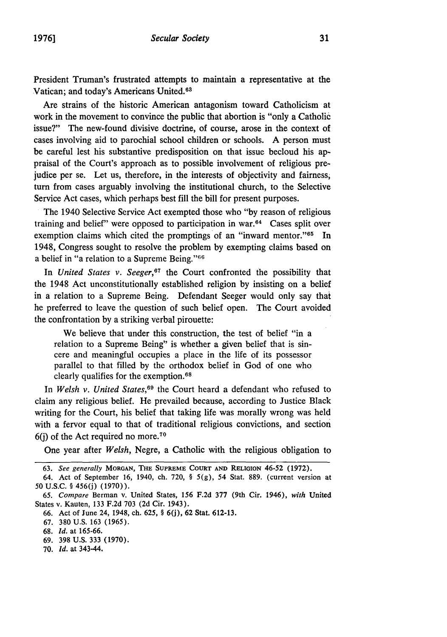President Truman's frustrated attempts to maintain a representative at the Vatican; and today's Americans United. <sup>63</sup>

Are strains of the historic American antagonism toward Catholicism at work in the movement to convince the public that abortion is "only a Catholic issue?" The new-found divisive doctrine, of course, arose in the context of cases involving aid to parochial school children or schools. A person must be careful lest his substantive predisposition on that issue becloud his appraisal of the Court's approach as to possible involvement of religious prejudice per se. Let us, therefore, in the interests of objectivity and fairness, turn from cases arguably involving the institutional church, to the Selective Service Act cases, which perhaps best fill the bill for present purposes.

The 1940 Selective Service Act exempted those who "by reason of religious training and belief" were opposed to participation in war.64 Cases split over exemption claims which cited the promptings of an "inward mentor."<sup>65</sup> In 1948, Congress sought to resolve the problem by exempting claims based on a belief in "a relation to a Supreme Being." $66$ 

In *United States v. Seeger*,<sup>67</sup> the Court confronted the possibility that the 1948 Act unconstitutionally established religion by insisting on a belief in a relation to a Supreme Being. Defendant Seeger would only say that he preferred to leave the question of such belief open. The Court avoided the confrontation by a striking verbal pirouette:

We believe that under this construction, the test of belief "in a relation to a Supreme Being" is whether a given belief that is sincere and meaningful occupies a place in the life of its possessor parallel to that filled by the orthodox belief in God of one who clearly qualifies for the exemption.<sup>68</sup>

In *Welsh v. United States,69* the Court heard a defendant who refused to claim any religious belief. He prevailed because, according to Justice Black writing for the Court, his belief that taking life was morally wrong was held with a fervor equal to that of traditional religious convictions, and section  $6(j)$  of the Act required no more.<sup>70</sup>

One year after *Welsh,* Negre, a Catholic with the religious obligation to

- 69. 398 U.S. 333 (1970).
- **70.** *id.* at 343-44.

**<sup>63.</sup>** *See generally* **MORGAN, THE SUPREME COURT AND** RELIGION 46-52 **(1972).**

<sup>64.</sup> Act of September 16, 1940, ch. 720, § 5(g), 54 Stat. 889. (current version at 50 U.S.C. § 456(j) (1970)).

*<sup>65.</sup> Compare* Berman v. United States, 156 F.2d **377** (9th Cir. 1946), *with* United States v. Kauten, 133 F.2d 703 (2d Cir. 1943).

<sup>66.</sup> Act of June 24, 1948, ch. 625, § 6(j), 62 Stat. 612-13.

<sup>67. 380</sup> U.S. 163 (1965).

<sup>68.</sup> *Id.* at 165-66.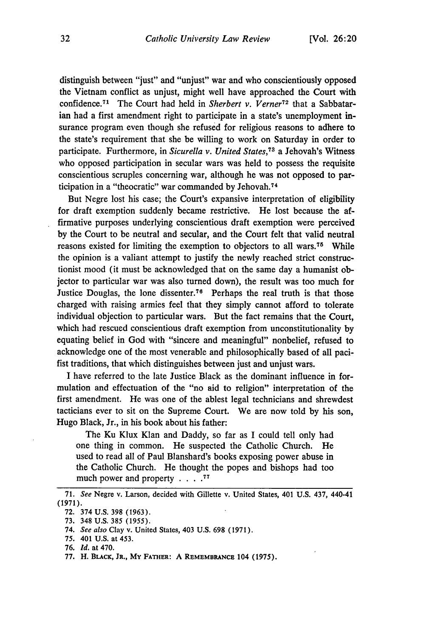distinguish between "just" and "unjust" war and who conscientiously opposed the Vietnam conflict as unjust, might well have approached the Court with confidence. 71 The Court had held in *Sherbert v. Verner72* that a Sabbatarian had a first amendment right to participate in a state's unemployment insurance program even though she refused for religious reasons to adhere to the state's requirement that she be willing to work on Saturday in order to participate. Furthermore, in *Sicurella v. United States,73* a Jehovah's Witness who opposed participation in secular wars was held to possess the requisite conscientious scruples concerning war, although he was not opposed to participation in a "theocratic" war commanded by Jehovah. <sup>74</sup>

But Negre lost his case; the Court's expansive interpretation of eligibility for draft exemption suddenly became restrictive. He lost because the affirmative purposes underlying conscientious draft exemption were perceived by the Court to be neutral and secular, and the Court felt that valid neutral reasons existed for limiting the exemption to objectors to all wars. 75 While the opinion is a valiant attempt to justify the newly reached strict constructionist mood (it must be acknowledged that on the same day a humanist objector to particular war was also turned down), the result was too much for Justice Douglas, the lone dissenter.<sup>76</sup> Perhaps the real truth is that those charged with raising armies feel that they simply cannot afford to tolerate individual objection to particular wars. But the fact remains that the Court, which had rescued conscientious draft exemption from unconstitutionality by equating belief in God with "sincere and meaningful" nonbelief, refused to acknowledge one of the most venerable and philosophically based of all pacifist traditions, that which distinguishes between just and unjust wars.

I have referred to the late Justice Black as the dominant influence in formulation and effectuation of the "no aid to religion" interpretation of the first amendment. He was one of the ablest legal technicians and shrewdest tacticians ever to sit on the Supreme Court. We are now told by his son, Hugo Black, Jr., in his book about his father:

The Ku Klux Klan and Daddy, so far as I could tell only had one thing in common. He suspected the Catholic Church. He used to read all of Paul Blanshard's books exposing power abuse in the Catholic Church. He thought the popes and bishops had too much power and property **.... 77**

72. 374 U.S. **398** (1963). 73. 348 U.S. 385 (1955).

<sup>71.</sup> *See* Negre v. Larson, decided with Gillette v. United States, 401 U.S. 437, 440-41 (1971).

<sup>74.</sup> *See also* Clay v. United States, 403 U.S. 698 (1971).

<sup>75. 401</sup> U.S. at 453.

<sup>76.</sup> *Id.* at 470.

**<sup>77.</sup>** H. **BLACK, JR., My FATHER:** A **REMEMBRANCE** 104 **(1975).**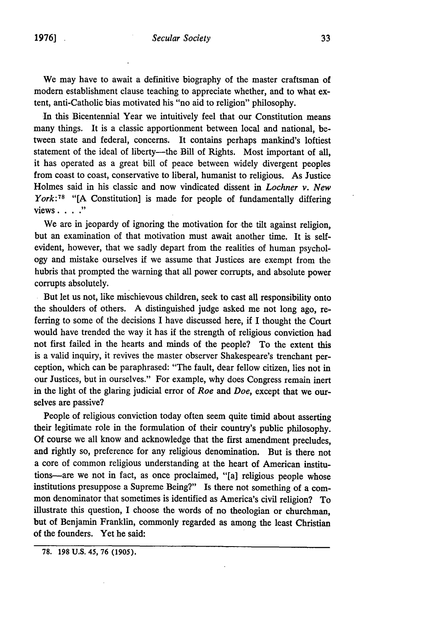We may have to await a definitive biography of the master craftsman of modem establishment clause teaching to appreciate whether, and to what extent, anti-Catholic bias motivated his "no aid to religion" philosophy.

In this Bicentennial Year we intuitively feel that our Constitution means many things. It is a classic apportionment between local and national, between state and federal, concerns. It contains perhaps mankind's loftiest statement of the ideal of liberty---the Bill of Rights. Most important of all, it has operated as a great bill of peace between widely divergent peoples from coast to coast, conservative to liberal, humanist to religious. As Justice Holmes said in his classic and now vindicated dissent in *Lochner v. New York:TS* **"[A** Constitution] is made for people of fundamentally differing views **.**

We are in jeopardy of ignoring the motivation for the tilt against religion, but an examination of that motivation must await another time. It is selfevident, however, that we sadly depart from the realities of human psychology and mistake ourselves if we assume that Justices are exempt from the hubris that prompted the warning that all power corrupts, and absolute power corrupts absolutely.

But let us not, like mischievous children, seek to cast all responsibility onto the shoulders of others. A distinguished judge asked me not long ago, referring to some of the decisions I have discussed here, if I thought the Court would have trended the way it has if the strength of religious conviction had not first failed in the hearts and minds of the people? To the extent this is a valid inquiry, it revives the master observer Shakespeare's trenchant perception, which can be paraphrased: "The fault, dear fellow citizen, lies not in our Justices, but in ourselves." For example, why does Congress remain inert in the light of the glaring judicial error of *Roe and Doe,* except that we ourselves are passive?

People of religious conviction today often seem quite timid about asserting their legitimate role in the formulation of their country's public philosophy. Of course we all know and acknowledge that the first amendment precludes, and rightly so, preference for any religious denomination. But is there not a core of common religious understanding at the heart of American institutions--are we not in fact, as once proclaimed, "[a] religious people whose institutions presuppose a Supreme Being?" Is there not something of a common denominator that sometimes is identified as America's civil religion? To illustrate this question, I choose the words of no theologian or churchman, but of Benjamin Franklin, commonly regarded as among the least Christian of the founders. Yet he said:

**<sup>78. 198</sup> U.S.** 45, **76 (1905).**